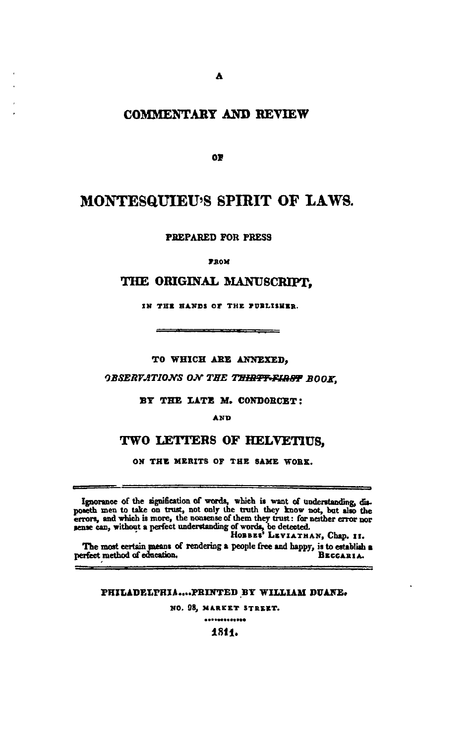#### Δ.

# **COMMENTARY AND REVIEW**

0P

# MONTESQUIEU'S SPIRIT OF LAWS.

PREPARED FOR PRESS

**FROM** 

# THE ORIGINAL MANUSCRIPT,

IN THE HANDS OF THE PUBLISHER.

TO WHICH ARE ANNEXED,

### OBSERVATIONS ON THE THEFFFIRST BOOK.

BY THE LATE M. CONDORCET:

AND

### TWO LETTERS OF HELVETIUS.

ON THE MERITS OF THE SAME WORK.

Ignorance of the signification of words, which is want of understanding, disposeth men to take on trust, not only the truth they know not, but also the errors, and which is more, the nonsense of them they trust: for neithe sense can, without a perfect understanding of words, be detected.

----------

The most certain means of rendering a people free and happy, is to establish a perfect method of education. BECCARIA.

----

PHILADELPHIA....PRINTED BY WILLIAM DUANE.

NO. 98, MARKET STREET. ............

1811.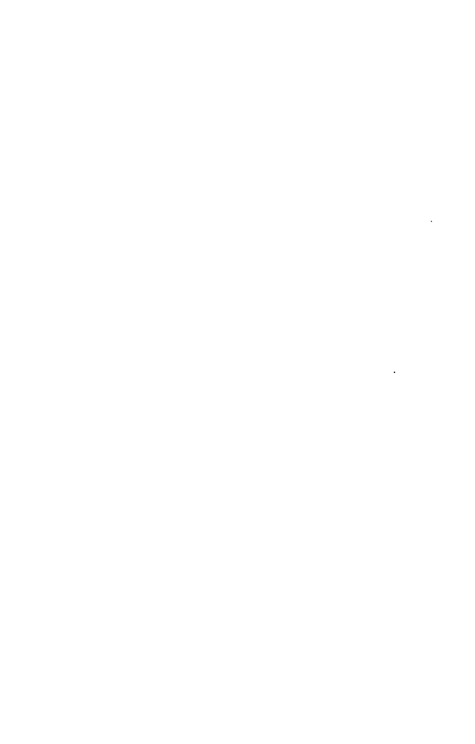$\epsilon$  .  $\mathcal{L}(\mathcal{L}^{\mathcal{L}})$  . The  $\mathcal{L}(\mathcal{L}^{\mathcal{L}})$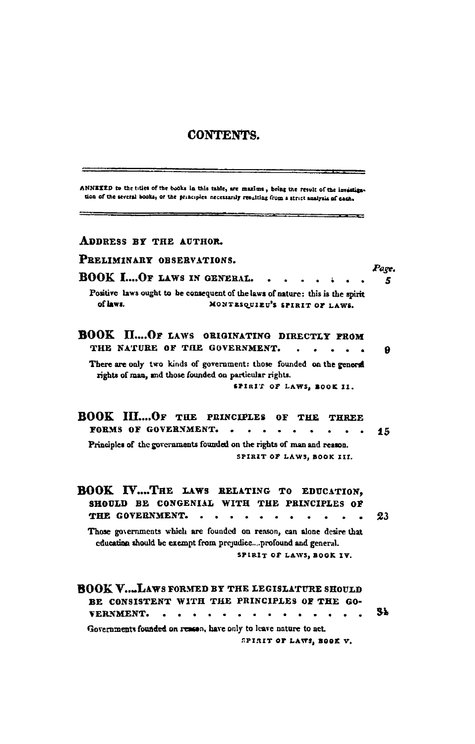---

| ANNEEED to the titles of the books in this table, are maxims, being the result of the investiga-<br>tion of the several books, or the principles necessarily resulting from a strict analysis of each.                                                                                                               |            |
|----------------------------------------------------------------------------------------------------------------------------------------------------------------------------------------------------------------------------------------------------------------------------------------------------------------------|------------|
| ADDRESS BY THE AUTHOR.                                                                                                                                                                                                                                                                                               |            |
| PRELIMINARY OBSERVATIONS.                                                                                                                                                                                                                                                                                            |            |
| <b>BOOK IOF LAWS IN GENERAL.</b>                                                                                                                                                                                                                                                                                     | Page.<br>5 |
| Positive laws ought to be consequent of the laws of nature: this is the spirit<br>of laws.<br>MONTESQUIEU'S SPIRIT OF LAWS.                                                                                                                                                                                          |            |
| <b>BOOK IIOF</b> LAWS<br><b>ORIGINATING DIRECTLY FROM</b><br>THE NATURE OF THE GOVERNMENT.                                                                                                                                                                                                                           | 9          |
| There are only two kinds of government: those founded on the general<br>rights of man, and those founded on particular rights.<br>SPIRIT OF LAWS, BOOK II.                                                                                                                                                           |            |
| <b>BOOK IIIOF THE</b><br><b>PRINCIPLES</b><br>ОF<br>THE<br>THREE<br>FORMS OF GOVERNMENT.<br>Principles of the governments founded on the rights of man and reason.<br>SPIRIT OF LAWS, BOOK III.                                                                                                                      | 15         |
| <b>BOOK IVTHE</b><br><b>LAWS</b><br>RELATING TO<br>EDUCATION.<br>SHOULD BE CONGENIAL<br>WITH<br><b>PRINCIPLES OF</b><br>тие<br>THE GOVERNMENT.<br>Those governments which are founded on reason, can alone desire that<br>education should be exempt from prejudiceprofound and general.<br>SPIRIT OF LAWS, BOOK IV. | 23         |
| BOOK VLAWS FORMED BY THE LEGISLATURE SHOULD<br>BE CONSISTENT WITH THE PRINCIPLES OF THE GO-<br><b>VERNMENT.</b><br>Governments founded on reason, have only to leave nature to act.<br>SPIRIT OF LAWS, BOOK V.                                                                                                       | 31         |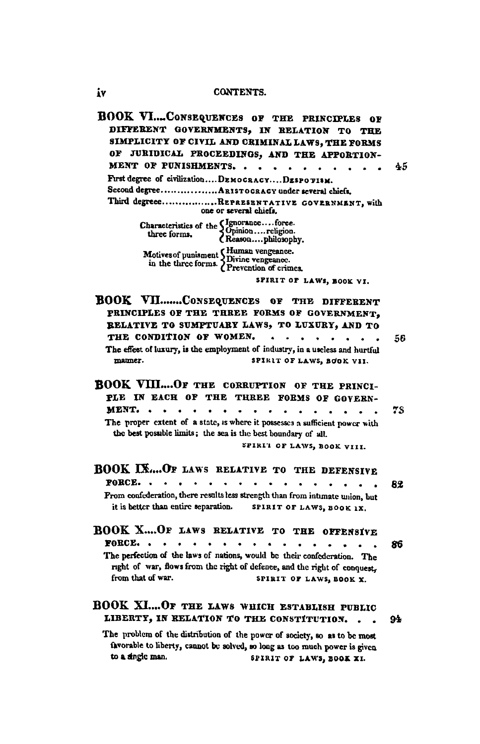BOOK VI....CONSEQUENCES OF THE PRINCIPLES OF DIFFERENT GOVERNMENTS, IN RELATION TO THE SIMPLICITY OF CIVIL AND CRIMINAL LAWS, THE FORMS OF JURIDICAL PROCEEDINGS, AND THE APPORTION-MENT OF PUNISHMENTS. . . . . 45  $\mathbf{a}$  and  $\mathbf{a}$ First degree of civilization.... DEMOCRACY.... DESPOTISM. Second degree.................. ARISTOGRAGY under several chiefs. Third degreee...............REPRESENTATIVE GOVERNMENT, with one or several chiefs. Characteristics of the  $\begin{cases} \text{Ignorance} \dots \text{force.} \\ \text{Option} \dots \text{region.} \end{cases}$ three forms. Reason....philosophy. Motives of punisment SHuman vengeance.<br>in the three forms. Prevention of erimes. SPIRIT OF LAWS, BOOK VI. **BOOK VII.......CONSEQUENCES OF THE DIFFERENT** PRINCIPLES OF THE THREE FORMS OF GOVERNMENT. RELATIVE TO SUMPTUARY LAWS, TO LUXURY, AND TO THE CONDITION OF WOMEN.  $\bullet$  .  $\bullet$  .  $\bullet$  $\bullet$   $\bullet$ 56  $\bullet$ The effect of luxury, is the employment of industry, in a useless and hurtful manner. SPIRIT OF LAWS, BOOK VII. BOOK VIII.... OF THE CORRUPTION OF THE PRINCI-PLE IN EACH OF THE THREE FORMS OF GOVERN-MENT. . . . . . . . . . . . . . . . . . 78 The proper extent of a state, is where it possesses a sufficient power with the best possible limits; the sea is the best boundary of all. SPIRIT OF LAWS, BOOK VIII. BOOK IX.... OF LAWS RELATIVE TO THE DEFENSIVE PORCE. . . . . . . . . .  $\ddot{\bullet}$   $\ddot{\bullet}$   $\ddot{\bullet}$ 82 From confederation, there results less strength than from intimate union, but it is better than entire separation. SPIRIT OF LAWS, BOOK 1X. **BOOK X.... OF LAWS RELATIVE TO THE OFFENSIVE**  $\texttt{FORCE} \cdot \cdot \cdot \cdot \cdot$  $\begin{array}{cccccccccccccc} \bullet & \bullet & \bullet & \bullet & \bullet & \bullet & \bullet & \bullet \end{array}$  $\blacksquare$  $\bullet$   $\bullet$   $\bullet$ 86 The perfection of the laws of nations, would be their confederation. The right of war, flows from the right of defence, and the right of conquest. from that of war. SPIRIT OF LAWS, BOOK X. BOOK XI.... OF THE LAWS WHICH ESTABLISH PUBLIC LIBERTY, IN RELATION TO THE CONSTITUTION. . . 94 The problem of the distribution of the power of society, so as to be most favorable to liberty, cannot be solved, so long as too much power is given to a single man. SPIRIT OF LAWS, BOOK XI.

iv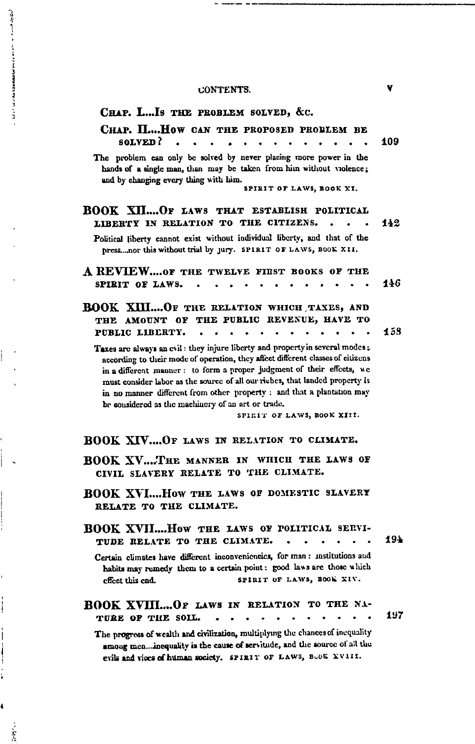### **COVERNER**

 $\{x,y\}$  where  $y\rightarrow -\infty$  is a contribution of the properties of  $\{x,y\}$  .

i

Ì  $\ddot{\phantom{0}}$ 

 $\frac{1}{2}$ 

 $\mathbf{I}$  $\vdots$ 

4

 $\frac{1}{2}$  ,  $\frac{1}{2}$ 

| GUN LEITLO.                                                                                                                                                                                                                                                                                                                                                                                                                                                                            |     |
|----------------------------------------------------------------------------------------------------------------------------------------------------------------------------------------------------------------------------------------------------------------------------------------------------------------------------------------------------------------------------------------------------------------------------------------------------------------------------------------|-----|
| CHAP. IIs THE PROBLEM SOLVED, &C.                                                                                                                                                                                                                                                                                                                                                                                                                                                      |     |
| CHAP. IL HOW CAN THE PROPOSED PROBLEM BE<br><b>SOLVED?</b>                                                                                                                                                                                                                                                                                                                                                                                                                             | 109 |
| The problem can only be solved by never placing more power in the<br>hands of a single man, than may be taken from him without violence;<br>and by changing every thing with him.<br>SPIRIT OF LAWS, BOOK XI.                                                                                                                                                                                                                                                                          |     |
| BOOK XIIOF LAWS THAT ESTABLISH POLITICAL<br>LIBERTY IN RELATION TO THE CITIZENS.<br>$\ddot{\phantom{a}}$                                                                                                                                                                                                                                                                                                                                                                               | 142 |
| Political liberty cannot exist without individual liberty, and that of the<br>pressnor this without trial by jury. SPIRIT OF LAWS, BOOK XII.                                                                                                                                                                                                                                                                                                                                           |     |
| A REVIEWOF THE TWELVE FIRST BOOKS OF THE<br>SPIRIT OF LAWS.<br>$\bullet$<br>٠                                                                                                                                                                                                                                                                                                                                                                                                          | 146 |
| BOOK XIIIOF THE RELATION WHICH TAXES, AND<br>AMOUNT OF THE PUBLIC REVENUE, HAVE TO<br>THE<br>PUBLIC LIBERTY.<br>$\bullet$                                                                                                                                                                                                                                                                                                                                                              | 158 |
| Taxes are always an cvil: they injure liberty and property in several modes;<br>according to their mode of operation, they affect different classes of citizens<br>in a different manner: to form a proper judgment of their effects, we<br>must consider labor as the source of all our riches, that landed property is<br>in no manner different from other property : and that a plantation may<br>be considered as the machinery of an art or trade.<br>SPIRIT OF LAWS, BOOK XIII. |     |
| BOOK XIVOF LAWS IN RELATION TO CLIMATE,                                                                                                                                                                                                                                                                                                                                                                                                                                                |     |
| BOOK XVTHE MANNER IN WHICH THE LAWS OF<br>CIVIL SLAVERY RELATE TO THE CLIMATE.                                                                                                                                                                                                                                                                                                                                                                                                         |     |
| <b>BOOK XVIHow THE LAWS OF DOMESTIC SLAVERY</b><br>RELATE TO THE CLIMATE.                                                                                                                                                                                                                                                                                                                                                                                                              |     |
| BOOK XVIIHow THE LAWS OF POLITICAL SERVI-<br>TUDE RELATE TO THE CLIMATE.                                                                                                                                                                                                                                                                                                                                                                                                               | 191 |
| Certain climates have different inconveniencies, for man : institutions and<br>habits may remedy them to a certain point: good laws are those which<br>SPIRIT OF LAWS, BOOK XIV.<br>effect this end.                                                                                                                                                                                                                                                                                   |     |
| BOOK XVIII OF LAWS IN RELATION TO THE NA-<br>TURE OF THE SOLL.                                                                                                                                                                                                                                                                                                                                                                                                                         | 197 |
| The progress of wealth and civilization, multiplying the chances of inequality<br>among men inequality is the cause of servitude, and the source of all the<br>evils and vices of human society. SPIRIT OF LAWS, BOOK XVIII.                                                                                                                                                                                                                                                           |     |

v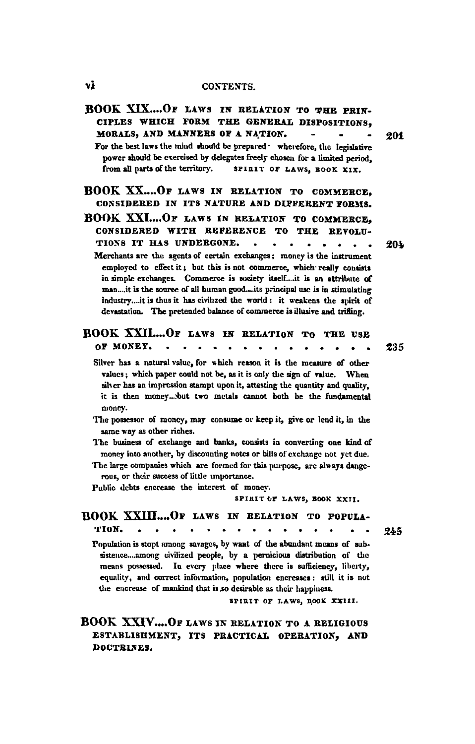| BOOK XIX OF LAWS IN RELATION TO THE PRIN-<br>CIPLES WHICH FORM THE GENERAL DISPOSITIONS.                                                                                                                                                                                                                                                                                                                                                                                               |     |
|----------------------------------------------------------------------------------------------------------------------------------------------------------------------------------------------------------------------------------------------------------------------------------------------------------------------------------------------------------------------------------------------------------------------------------------------------------------------------------------|-----|
| MORALS, AND MANNERS OF A NATION.<br>For the best laws the mind should be prepared wherefore, the legislative<br>power should be exercised by delegates freely chosen for a limited period,<br>from all parts of the territory. SPIRIT OF LAWS, BOOK XIX.                                                                                                                                                                                                                               | 201 |
| BOOK XX OF LAWS IN RELATION TO COMMERCE,<br>CONSIDERED IN ITS NATURE AND DIFFERENT FORMS.                                                                                                                                                                                                                                                                                                                                                                                              |     |
| BOOK XXI OF LAWS IN RELATION TO COMMERCE,<br>CONSIDERED WITH REFERENCE TO THE REVOLU-                                                                                                                                                                                                                                                                                                                                                                                                  |     |
| TIONS IT HAS UNDERGONE.<br>Merchants are the agents of certain exchanges; money is the instrument<br>employed to effect it; but this is not commerce, which really consists<br>in simple exchanges. Commerce is society itselfit is an attribute of<br>manit is the source of all human goodits principal use is in stimulating<br>industryit is thus it has civilized the world: it weakens the spirit of<br>devastation. The pretended balance of commerce is illusive and trifling. | 201 |
| BOOK XXII OF LAWS IN RELATION TO THE USE<br>OF MONEY.                                                                                                                                                                                                                                                                                                                                                                                                                                  | 235 |
| Silver has a natural value, for which reason it is the measure of other                                                                                                                                                                                                                                                                                                                                                                                                                |     |

values; which paper could not be, as it is only the sign of value. When silver has an impression stampt upon it, attesting the quantity and quality, it is then money... but two metals cannot both be the fundamental money.

- The possessor of money, may consume or keep it, give or lend it, in the same way as other riches.
- The business of exchange and banks, consists in converting one kind of money into another, by discounting notes or bills of exchange not yet due.
- The large companies which are formed for this purpose, are always dangerous, or their success of little importance.

Public debts encrease the interest of money.

 $\bullet$ 

TION.

SPIRIT OF LAWS, BOOK XXII.

 $\bullet$ 

 $\bullet$  $\bullet$ 

 $\bullet$ 

### BOOK XXIII.... OF LAWS IN RELATION TO POPULA-

245

 $\ddot{\phantom{a}}$ 

Population is stopt among savages, by want of the abundant means of subsistence....among civilized people, by a pernicious distribution of the means possessed. In every place where there is sufficiency, liberty, equality, and correct information, population encreases: still it is not the encrease of mankind that is so desirable as their happiness.

SPIRIT OF LAWS, ROOK XXIII.

## BOOK XXIV.... OF LAWS IN RELATION TO A RELIGIOUS ESTABLISHMENT, ITS PRACTICAL OPERATION, AND DOCTRINES.

٧Ì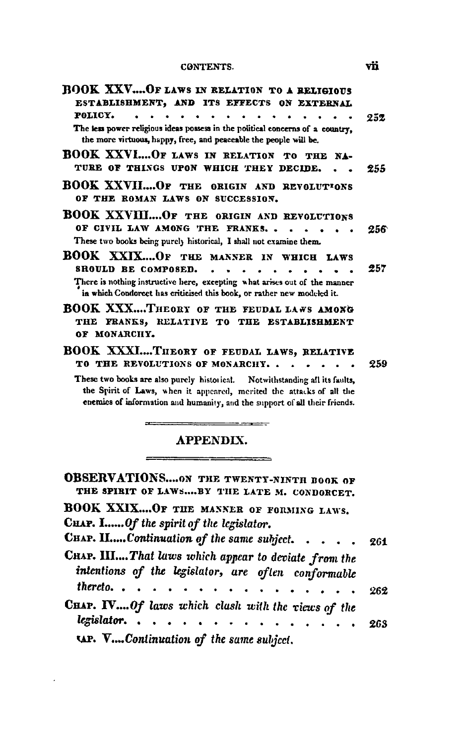| <b>BOOK XXVOF LAWS IN RELATION TO A RELIGIOUS</b>                                                                                                                                                                                 |     |
|-----------------------------------------------------------------------------------------------------------------------------------------------------------------------------------------------------------------------------------|-----|
| ESTABLISHMENT, AND ITS EFFECTS ON EXTERNAL                                                                                                                                                                                        |     |
| POLICY.                                                                                                                                                                                                                           | 252 |
| The tem power religious ideas possess in the political concerns of a country.<br>the more virtuous, happy, free, and peaceable the people will be.                                                                                |     |
| BOOK XXVI OF LAWS IN RELATION TO THE NA-                                                                                                                                                                                          |     |
| TURE OF THINGS UPON WHICH THEY DECIDE.                                                                                                                                                                                            | 255 |
| BOOK XXVII OF THE ORIGIN AND REVOLUTIONS<br>OF THE ROMAN LAWS ON SUCCESSION.                                                                                                                                                      |     |
| <b>BOOK XXVIII OF THE ORIGIN AND REVOLUTIONS</b>                                                                                                                                                                                  |     |
| OF CIVIL LAW AMONG THE FRANKS                                                                                                                                                                                                     | 256 |
| These two books being purely historical, I shall not examine them.                                                                                                                                                                |     |
| BOOK XXIX OF THE MANNER IN WHICH LAWS                                                                                                                                                                                             |     |
| SROULD BE COMPOSED.                                                                                                                                                                                                               | 257 |
| There is nothing instructive here, excepting what arises out of the manner<br>in which Condorect has criticised this book, or rather new modeled it.                                                                              |     |
| BOOK XXXTHEORY OF THE FEUDAL LAWS AMONG<br>THE FRANKS, RELATIVE TO THE ESTABLISHMENT<br>OF MONARCHY.                                                                                                                              |     |
| BOOK XXXITHEORY OF FEUDAL LAWS, RELATIVE                                                                                                                                                                                          |     |
| TO THE REVOLUTIONS OF MONARCHY                                                                                                                                                                                                    | 259 |
| These two books are also purely historical. Notwithstanding all its faults,<br>the Spirit of Laws, when it appeared, merited the attacks of all the<br>enemies of information and humanity, and the support of all their friends. |     |
|                                                                                                                                                                                                                                   |     |
| APPENDIX.                                                                                                                                                                                                                         |     |
|                                                                                                                                                                                                                                   |     |
|                                                                                                                                                                                                                                   |     |

**OBSERVATIONS....ON THE TWENTY-NINTH BOOK OF** THE SPIRIT OF LAWS....BY THE LATE M. CONDORCET. BOOK XXIX.... OF THE MANNER OF FORMING LAWS. CHAP. I...... Of the spirit of the legislator. CHAP. II.....Continuation of the same subject. . . . . 261 CHAP. III.... That laws which appear to deviate from the intentions of the legislator, are often conformable thereto, . . . . . . . . . . . . . . . . . 262 CHAP. IV.... Of laws which clash with the views of the legislator. . . . . . . . . . . . . . . . 263 LAP. V....Continuation of the same subject.

vii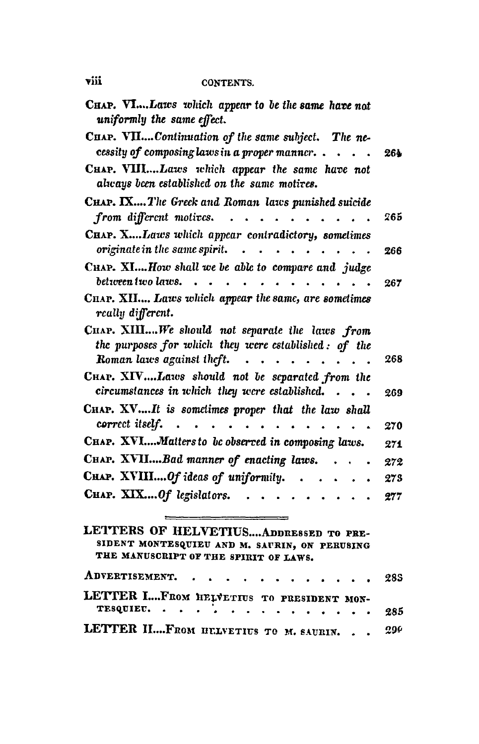| CHAP. VILaws which appear to be the same have not<br>uniformly the same effect.                                                  |            |
|----------------------------------------------------------------------------------------------------------------------------------|------------|
| CHAP. VIIContinuation of the same subject. The ne-<br>cessity of composing laws in a proper manner                               | 264        |
| CHAP. VIIILaws which appear the same have not<br>always been established on the same motives.                                    |            |
| CHAP. IX The Greck and Roman laws punished suicide<br>from different motives.<br>$\ddot{\phantom{a}}$                            | 265        |
| CHAP. XLaws which appear contradictory, sometimes<br>originate in the same spirit.                                               | 266        |
| CHAP. XIHow shall we be able to compare and judge<br>between two laws.                                                           | 267        |
| CHAP. XII Laws which appear the same, are sometimes<br>rcally different.                                                         |            |
| CHAP. XIIIWe should not separate the laws from<br>the nurposes for which they were established: of the                           |            |
| Roman laws against theft.<br>$\bullet$<br>$\bullet$<br>$\blacksquare$                                                            | 268        |
| CHAP. XIVLaws should not be separated from the                                                                                   |            |
| circumstances in which they were established.                                                                                    | 269        |
| CHAP. XVIt is sometimes proper that the law shall<br>$\bullet$                                                                   |            |
| correct itself.                                                                                                                  | 270<br>271 |
| CHAP. XVIMatters to bc observed in composing laws.<br>CHAP. XVIIBad manner of enacting laws.                                     | 272        |
| CHAP. XVIII Of ideas of uniformity.                                                                                              | 273        |
| CHAP. XIXOf legislators.                                                                                                         | 277        |
| LETTERS OF HELVETIUS ADDRESSED TO PRE-<br>SIDENT MONTESQUIEU AND M. SAURIN, ON PERUSING<br>THE MANUSCRIPT OF THE SPIRIT OF LAWS. |            |
| ADVERTISEMENT.                                                                                                                   | 285        |
| LETTER IFROM HELVETIUS TO PRESIDENT MON-<br>TESQUIEU.                                                                            | 285        |

viii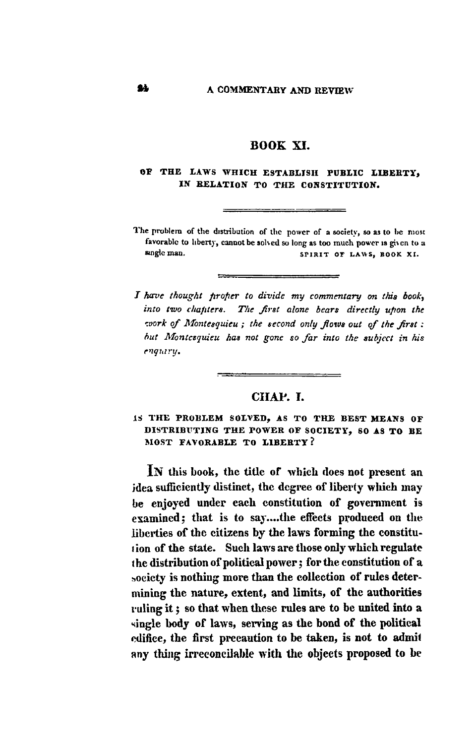## **B**O**OK XI.**

### 01\_ T**H**E **LAWS** W**HICH** E**STABLI**S**H** *P***UB***L***IC** L**I**\_E**RTlt', IN RE**L**A**T**I**O**N TO** T**HE CONSTITUTION.**

*I* have thought proper to divide my commentary on this book, *into two cha[*\_*ter*s**.** *T/w Jir*s*t alone bear*s *directly u]*ton *the work of* 3*[ontesquieu ; the second only flo*,vs *out of the fir*s*t :* b*ut 2*1*Ionte*s*quieu has not gone so far into the* s*ubject in tu*'s

# **CIIAP. I.**

IS **THE PROB***L***EM SO**L**V**E**D**\_ **AS** T**O** T**IL**E **BEST MEANS OF DI**ST**RIBUTING THE POWER 0**P S**OCI**E**TY'**, S**O** A**S** T**O BE** M**OST** \_'**AVORAB**I*,* **E TO** LI**B**E**RTY**?

I**N** *0*1**is book***,* t**he title of** wh**ich does not p**re**sent an ide**a **sufficiently d**i**stinct***,* **the de**gr**ee of libe**r**(y wifieh** m**ay be enjoyed under each con**s**titution of govern**m**ent is ex**a**min**ed**;** th**at i**s **to say....**th**c e**ff**ects produced on t**h**e** fi**bc**l¢**ies of the citizens by the laws forming the constitu**l**ion of the s***t***ate. Such l**aw**s are t**h**ose only which regulate** t**he distribution of po**li**tical po**w**er; for the cons**ti**tu**ti**on of a ,oeicty is nothin**g m**ore than the collection of ru**l**es determining the nature***,* **extent***,* **and li**m**its***,* **of the authori**ti**es** r**ulin**g **it ;** s**o** tha**t when these rule**s **are to be united into a** \_**ingle body o**f **l**aw**s***,* **serv**in**g as the bond of the poli**ti**cal edifice***,* **the first precau**ti**on to be taken***,* **is not to admi**| an**y tlth**l**g irreconcilable with t**h**e objects propo**s**ed to be**

The problem of the distribution of the power of a society, so as to be most **favorable** t**o hberty, cannot** b**e sol**s**ed** so **long a**s **too** m**uc**h **power** i**s gi**s**cn** t**o a** \_e**lzta**ll**. SPIRIT OF L**A\_**.**\_**S**j **I**B**00K XI.**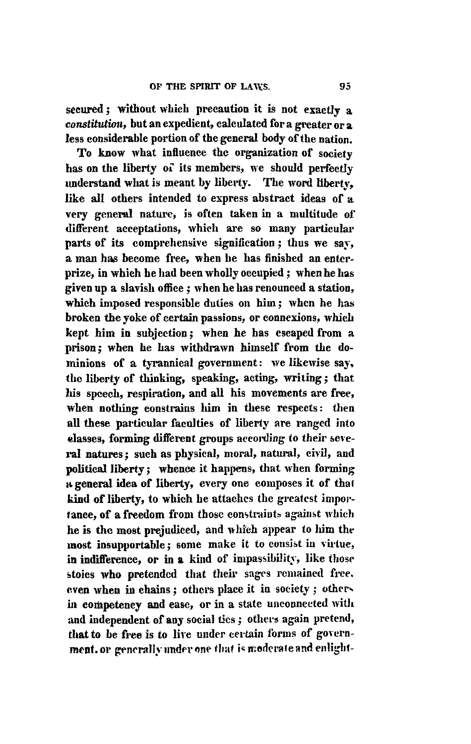**secured ;** w**ithout whic**h **pr**cean**tion it is not ex**a**ctly** a **c***onstitutim*\_*,* **hut an expedient, calculated for a greater or** a **less con**s**iderable portion of the** g**eneral** b**ody of th**e **nation.**

**To kno**w w**hat influence the or**g**anization of society** ha**s on t**h**e liberty o**\_ **its** m**e**m**bers***,* **we s**h**ould perf**e**ctly** i**mders**ta**nd wl**m**t is meant by libe***r***ty. The** w**ord li**be**rt***y,* **llke** al**l others intended to express** a**bst**ra**ct ideas of** a **very** g**ener**\_**l nature***,* **i**s **often taken in a** mul**titude oi" different acceptations,** wh**i**ch **are so many parti**c**ula***z***. parts of its co**m**pr**eh**ensive si**g**nification ; thus** w**e sa**y*,* **a** m**an** h**a**\_ **become f**r**ee, when he has finished an enterprize***,* **in** w**hi**ch **h**e h**ad been** wh**olly o**c**enpi**ed **; w**h**en he** h**as given up a slavish office ;** wh**en he has renounced a station, which imposed responsible duties on hi**m **;** w**hen he** h**as broken the yoke of certain pas***s***ions***,* **or eonnexions***,* wh**ich kept him in subjection ; w**h**en he has escaped fro**m **a prison;** w**hen he has wi**th**dra**w**n** him**self f**rom th**e d***o***minions of** a **t***y***ranni**c**al** g**overn**me**nt:** w**e** li**ke**wi**se say,** th**e liberty of thinkin**g**, spe**a**king, actin**g**, writin**g **; t**h**at iris speech, respiration, and all** h**is movements are fre**e**,** w**hen notldn***g* **eonstrains ]ti**m **in these re**s**pects: t**h**en all** th**e**s**e pa**r**ticular fa**c**ult**i**es of libe**rt**y are ran**g**ed int***o* **classes***,* **formin**g *d***ifferent** gro**up**s **acco**l\_**]i**ng t**o** t**he**ir s**eve**ra**l natures; such as physical***,* m**oral***,* **natural***,* **civil***,* **and** pe**litieal li**be**rty; wh**e**nce it happ***e***ns***,* **that when forming** \_**tgeneral idea of liberty,** e**ve**ry **on**e **co**m**poses it of** th**a**! **kind of liberty***,* **to which he at**tac**hes th**e gre**ate**s**t** im**po**rt**an**c**e***,* **of a f**re**edom fro**m **those eon**\_**t**l**-aint**\_ **a**\_a**in**s**t** w**hic**h **he i**s **th**e **most p**re**judiced***,* **and** \_**v**h**i**'**ch a**p**pear to** l**d**m **t**he **most insupportabl**e**; so**m**e make it to e***o*n**s**ls**t in vh.tue***,* **i**n **indiff**ere**nce***,* **or** in a **k**in**d of i**m**pas**s**ibilit***y,* **like t**h**os**e **stoics who p**re**t**e**n**d**ed** th**at** th**ei**r **sa**\_e**s remain**ed **f**r**ee. even when** in c**hains ; othe**r**s place it in so**c**iety ; othe**r\_ **h**i c**o**m**petency and ea**s**e***,* **o**r **in** a **st**a**te un**c**onn**e**ct**e**d** w**it**h **and independent of an**y **social** ti**cs ; ot**he*r*s **again pretend, t**ha**t to b**e **f**re**e is to lif**e **u**n**de**r **ee**l**.rain ibr**ms **of** g**ovcrnmenL o**r \_**en**r**rally** u**n**d**e**r o**ne** t**l**m**;t**\_**i**\_**modera**te **and enli**\_ht**-**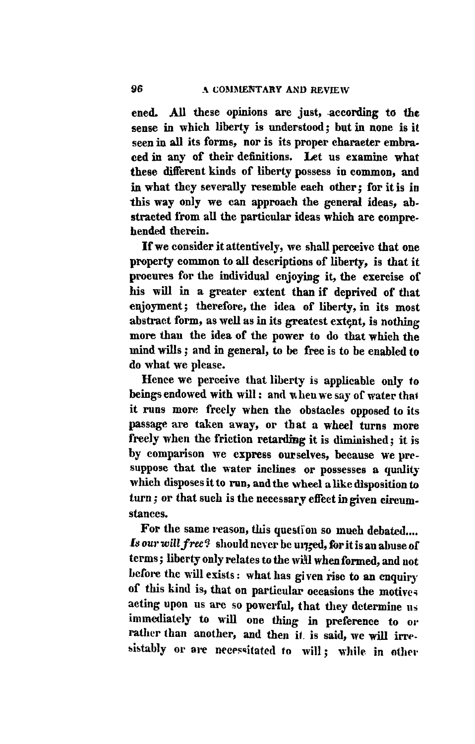**en**e**d.** *A***ll th**es**e opinions ar**e **just***,* a**cc**o**rding** to **the sen**s**e in whi**c**h liberty is under**s**tood; but in none is it seen in all its forms***,* **nor is its** p**roper character e**m**b**ra**ced in any of** th**eir definitions. Let us examine what these different kinds of liberty posse**s**s in com**m**on***,* **and in what** th**ey** s**eve**ra**lly re**s**e**m**ble each o**th**er; for it is in** 1**his way only we can app**ro**ach** th**e general ideas***,* **abst**ra**cted** f**ro**m **aU** th**e particular ideas which are comprehended the**re**in.**

**Ifwc consider it attentively, we** s**hall perceive** th**at one property common to a**ll **descriptions of liberty***,* **is** th**at it pr***o***cu**res **for the** in**dividual enjoying it, the exercise of his** w**ill** in **a greater extent than if dep**ri**ved of** th**at en**j**oyment;** th**erefore***,* th**e idea of** li**berty, in its most abst**ra**ct f***o***rm***,* **as** w**ell as in its gre**a**test ext**\_**nt***,* **is nothin**g m**ore** th**an the idea of** th**e power to do that** w**hich** th**e mind** w**ills ; and in gene**ra**l***,* **to be free i**s **to be enabled to do what** w**e please.**

**Hence we perceive that liberty is app**li**cable only** t**o** bein**gs endowed with** w**ill : a**n**d** \_ **hen we** s**a**y **of water tha**t **it runs more freely when the obstacles opposed to its pas**s**age are taken away***,* **or th at a wheel turns more f**re**ely** w**he**n th**e friction retardi**n**g it is diminished ; it i**s **by co**m**pari**s**on** w**e ex**pre**s**s **ourselve**s*,* be**cause we pre**suppose that the water inclines or possesses a quality w**hich di**sp**o**s**es it to run***,* **and th**e ,**vheel alike dis**p**osition to turn***;* **or that such is the nece**s**sar**y **effect** in **given circumstances.**

**For the same** r**eason***,* **this que**s**ti'o**n s**o** m**uch debated** ....  $I$ **s** *our* will  $free$  ? should never be urged, for it is an abuse of **terms; liberty only relate**s **to the** w**i**l**l when formed***,* an**d not befo**re **the** wil**l exists : what** ha**s gi yen***/***'i**se to **an** en**quiry of this kind is***,* tha**t on particul**ar **occasions** th**e** m**otive**\_ **acting upon us are** s**o** po**wel'f**nl*,* **that** th**ey dete**rm**ine** us **imme**d**iately to will one th**ing in **p**re**ference to or** ra**ther than another***,* **and** th**e**n **i**t **is said***,* **we will irr***e***sist**a**bly o**r are **ne**e**e**.\_**itated** t**o** w**ill ;** wh**ile in o**\_h**e**r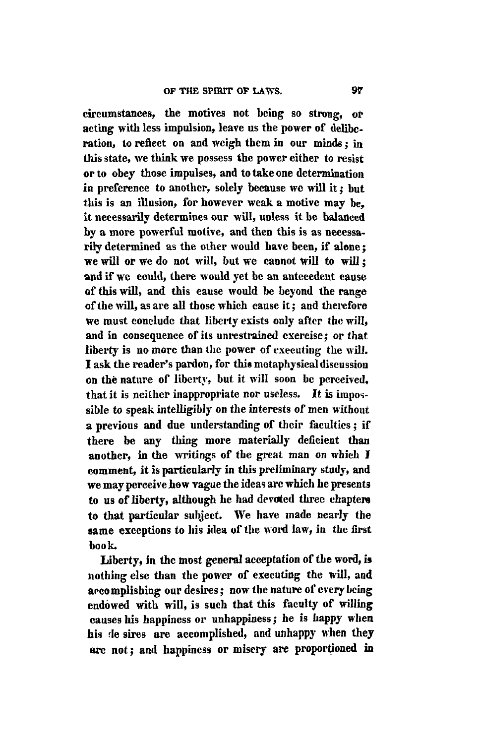**clreu**m**stan**e**e**s*,* **the** m**otives not being so stron**g**, o**r **actin**g **w**ith **less impulsion***,* **leave us the powe**r **of delibcration***,* **to reflect on and wei**g**h them** in **ou**r m**inds ; in this state, we think w**e **possess the power either to resist o**r **to obey those impulses***,* **and to take one determination** i**n p**r**eference to anot**h**e**r*,* **solely because we will it***;* **but** t**his is an illusion***,* **fo**r **however weak a motive** m**ay be***,* **it necessarily determines our** w**ill***,* **unless it be b**al**anced by** a **more po**we**rful motive,** a**nd then this is** a**s n**ec**ess**ar**il 7 determined** a**s the other** w**ould have been***,* **if alo**n**e; we will o**r **we do not** w**ill, but we cann***o***t will t***o* w**ill ;** a**nd if we could***,* **there** w**ould yet h**e an **antecedent cause** o**f this will, and this eause would be beyond the ran**g**e ofthe** w**ill***,* **as** a**re all thos**e w**hich cause it; and t**h**e**l\_**fo**r**e we must c***o***nclude** th**at li**bei\_**y exists only afte**r t**he will***,* a**nd in c***o***nsequence** *o***f its un**re**stx'ained exercise;** *o***r** t**hat li**be**rty is n***o* **more than** th**e p***o***we***r* **of** e**xe**c**u**t**in**g **t**h**e** wil**l I ask the reader***'***s pard***o***n***,* **f***o*r **thi**s me**taphysical d**i**seus**s**i***o***u** *o***n th**e **nature of lib**er**t**y**, but it** w**ill so***o***n be perceive**d**,** *t***hat it is neithe**r **inapp**r**op**r**iate n***o*r **useless. It is imp***o*s**sible t***o* **speak intelli**g**ibly** *o***n t**h**e interests of men** w**ithout a previous and due understanding** *o***f thei**r **faculties ; if there be any thin**g **m***o***re materially deficient** th**an another, in the writings of** t**he** gre**at** m**an** *o***n which I comment, it is parti**c**ula**r**ly in t**hi**s p**rel**iminary study, and we** m**ay pe**r**ceive h**o**w vague** th**e ideas a**r**e w**hi**c**h **he present**s **to us of Hberty,** alth**ou**g**h he h**\_ **d***e***voted thre**e **chap**t**ers** t**o that particular subject. We have** m**ade nea**r**ly** t**he** *s***ame exception**s **to** h**is idea of th**e w*o***rd law***,* **in the first book.**

Liberty, in the most general acceptation of the word, is n**ot**h**in**g **e**l**se than t**h**e p**o**wer of executing t**h*e* w**il**l**, and acco**m**plishin**g **our desi**r**es; no**w **t**h**e natu**re **of every bein**g **endo**w**ed** w**it**h w**ill, is suc**h **that** th**is faculty of willin**g ean**ses h**i**s happiness or un**hap**p**in**ess; he is happ***y* wh**en hi**s **.***,***le sire**s **a**re **acc***o***mplish**e**d, and un**h**appy** wh**en they arc not; and happiness or mise**r**y are propo**rti**oned in**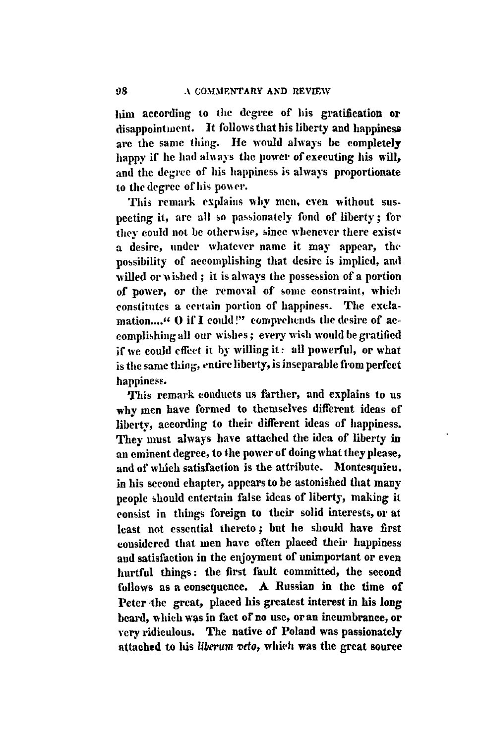**ld**m **a**c**cordi**ng **to** 1**he d**egr**ee of his** gr**atification or dis**a**ppoin**t**me**n**t. It follo**w**s t**ha**t his liberty and** h**appines**J **a**r**e the** s**a**m**e** th**i**ng**. He wo**al**d a**hv**ay**s **be co**m**pletely happy if he had a**h\_a**ys** th**e** po**we**r **ofexecuting** h**is will, and ti**l**e de**\_*;*r**ce of** h**is happines**s **i**s **always proportionat**e **to t**h**e d**eg**ree ofhi**s **po**\_er**.**

**Thi**s **rem**ark **explain**s \_**v**b**y** m**e**n**, e**v**en** \_**ithout suspecting it, a**r**e all** so **pas**s**ionatel**y **fo**n**d of liber**t**y ; fo**r t**hey could** n**ot be ot**h**e**r\_**ise, since wheneve**r th**ere exis**l\_ **a** des**i**r**e,** und**e**r wh**a**tev**e**r n**a**m**e it** m**a**y **a**ppe**a**r*,* th**,.** p**o**s**sibilit**y **of acco**m**plishin**g **t**h**at desi**r**e is im**p**lied, and** w**'illed o**r \_**i**s**h**e**d ; it i**s **al**w**a**y**s t**he p**o**s**se**s**sion of a po**r**tion of power, o**r th**e removal of som**e **eonst**r**ai**n**t, whi**c**h cons**t**itutes** a c**e**r**tain po**r**tion of ha**pp**i**n**es**s**. T**h**e exclamation....**" O if I could!" comprehends the desire of ac**co**mp**li**s**hi**ng **all ou**r w**ish**e**s ; eve**ry**,** x**vid**i **would be g**r**atified if** w**e co**u**ld cfl***'***e**et **i**t **b**y w**illin**g **it: all** p**o**w**e**r**ful, o**r w**hat is the** s**ame t**h**i**ng*, e***nti**r**e lib**er**ty, is in**s**e**p**a**r**abl**e **fi'o**m p**e**r**fe**c**t hap**l**fine**ss**.**

**This re**m**a**r**k co**n**ducts u**s **i**\_**art**h**e**r**, and explains to us wh**y m**en have fo**r**med to themselve**s **diffe**r**ent ideas of** li**be**r**t**y**, accordi**ng t**o th**e**i**r **di**ff**e**r**ent ideas o**f h**a**pp**iness. The**y m**ust al**w**ays ha**ve **attac**h**ed ri**t**e idea of libe**r**t**y **i**n **an e**m**inent deg**r**ee, to** th**e** p**o**w**e**r **o**f **doing** w**hat** th**ey** p**lea**s**e, and of** w**hleh s**a**tisfae**t**io**n **is the att**r**ibute, l**\_l**ontesquie**u**. in his** s**econd** e**hapte**r**, appears to be astoni**sh**ed t**h**at** m**a**n**y** p**eo**p**le** s**hould ente**r**tai**n **false ideas of libe**r**t**y**,** m**aki**n**g it con**s**i**s**t in t**h**in**g**s fo**r**eign to their solid int**e**rest**s**, o**r **a**t **l**e**ast not** ess**ential t**h**e**ro**to ; but l**i**e should have fi**r**st co**n**sidered t**h**at** m**e**n **have often** p**lac**e**d theh.** h**a**pp**i**n**ess a**n**d** sa**tisi:a**c**tion i**n **th**e **enjoyment of u**n**im**por**ta**n**t o**r **even** h**u**r**tf**u**l thin**g**s: the** fir**st fault committ**e**d, th**e **s**e**co**n**d follo**w**s as a con**s**equ**en**ce. A Rus**s**ia**n **i**n **the tim**e **of P**e**te**r-th**e** g**reat,** p**laced his greatest** in**t**e**rest** in **his long bea**r**d,** wh**ich** wg**s i**n **fact o**f **no use, or an incu**m**b**ra**nce***,* **or** v**e**ry **ridiculous. T**h**e native of Poland was** p**as**s**ionat**e**ly** a**tta**c**h**ed **to Iri**s l*ibc*r*un*l =*do***,** wh**i**c**h wa**s **t**h**e great sour**ce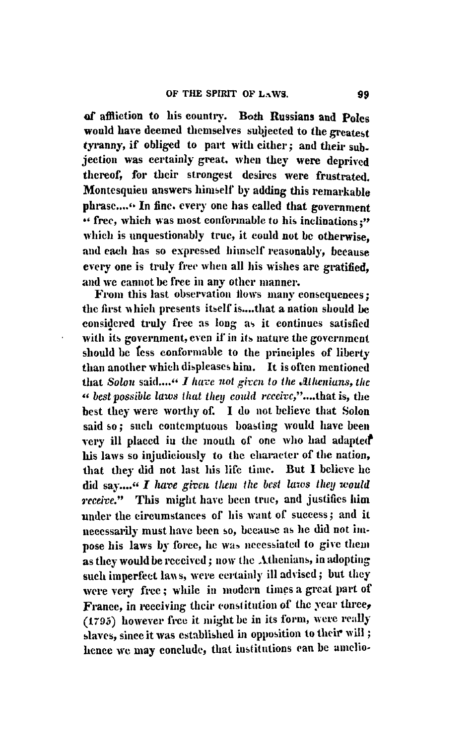e**f affli**c**tion to** h**i**s **co**untl**T. Bo***t*h **R**u**ssia**n**s a**n**d Poles would ha**v**e deemed the**m**s**el**ves** s**ub**j**ected to** t**he greatest**  $t$ **yranny**, if obliged to part with either; and their sub**j**e**etio**n **was ee**r**tai**n**ly** gr**eat,** wh**e**n t**h**ey were **d**e**priv**e**d t**h**e**re**of, fo**r **thei**r s**t**r*o***n**g**e**s**t dc**s**i**l\_**s we**re **fr**u**st**r**ated.** *M***on**te**squie**n a**nsw**e**rs lfi**ms**elf b**y **addi**n**g** th**is re**m**ark**a**b**le **ph**ra**se....***,***. In fine. eve**r*y* **one has called that govern**m**ent .***,* **free***,* **which was most eon***t***b**rm**abl**e t**o his inclinations ;**" **w**h**ic**h **is un**q**uestionably t**r**ue, it co**u**ld not be oth**e**rwise,** a**nd ea**ch h**as so e**x**pres**s**ed** h**i**ms**elf reason**a**bly, because** e**v**er**y on**e is tr**uly fi'e**e wbe**a a**l**l** hi**s** w**i**shes **a**re **gt**\_**atified***,* **and** we **c**a**n**n**ot be f**\_e **in any o**the**r** m**anne**r**.**

**F**r**om t**h**is last ob**ser**va**t**ion** l**l**o**w**s m**a**n**y con**s**equenees; t**h**e fi**r**st** \_sh**ie**h pr**es**e**nts it**s**elf i**s**....**th**at a natio**n s**hould be eo**ns**id**c**l**\_**d t**rul**y f**re**e a**s **lo**ng **a**\_ **i**t **conti**n**ue**s s**atisfied wit**h **it**s **gove**r**n**me**nt,** e**v**e**n it"in i**ts na**tu**re **the gove**r**nme**n**t** sh**o**ul**d** be **less confo**r**ma**b**le to t**he **p**ri**nciples of li**ber**t***y* **t**h**an anot**h**e***r* **w**h**i**ch **di**s**pl**e**ase**s **hi**m**. It is often mention**e**d**  $\mathbf{t}$ hat *Solon* said...." *I* have not given to the Athenians, the **'***, bcst* p*o*s*siblc laws th*a*t* the**ft** *co*,*rid* r*ceeivc,*"**....that is, t**h**e** b**est t**he**y** w**er***e* w**o**r**t**h**y of. I do not** b**elieve t**h**at** S**olon said so; su**ch **conte**m**pt**u**o**us b**oa**s**ti**n**g** w**ould** h**ave b**e**en very** ill placed in the mouth of one who had adapted **Iris la**w**s so injudi**c**ious**l**y to t**h**e e**hal\_**et**er **of** th**e n**a**tion, t**h**at** th**e**y **did not last his life t**i**m**e**. But I believ**e **h**e di**d s**a**y....**" *I lu***t***ve givc*t**t** them th*e best laws* t*he*ft *would* ;**'***eceive***.**" **This** m**i**gh**t** ha**ve b**ee**n t***r***u**e*,* **and ju**s**tifies** h**im under the eir**e**u**m**stanees o1**" h**is** w**ant o**f s**u**e**eess; and it n**ee**essal**\_**y must** ha**ve be**e**n** s**o***,* **becau**s**e a**s h**e d**i**d not im**p**ose** h**is la**w**s b**y **fo**r**ce,** h**e** wa**,** ne**e**e**s**s**iate**d t**o gi**v**e t**h**e**m a**s t**h**e**y w**o**ul**d be received ; now** th**e At**h**enian**s*,* **in 'adoptiug** s**ueh i**m**p**e**r**f**eet l**ass **s, w**e*r*e ce**rtainly ill advised ; but t**he**y** w**e**re **v**el\_*j* **fi**\_**e ;** w**lfile in** m**odern tim**es a grea**t part of F**r**anee***,* **in** ree**eivi**ng th**ei**r e**on**s**fit**ut**io**n **of** th*e* y**ea**r **t**h**r**e**e***,* (**1***7***93**) **however fi**\_**e it** m**i.\_ht be in its fo**r**m***,* **we**r**e** re**alJ**y s**lave**s*,* **sineeit was e**s**tabli**sh**ed in opp**os**ition to their** w**ill ; h**e**nec we** m**a**y **eon**e**l**u**de***,* **that in**s**tit**u**tions ea**n **be a**me**lio-**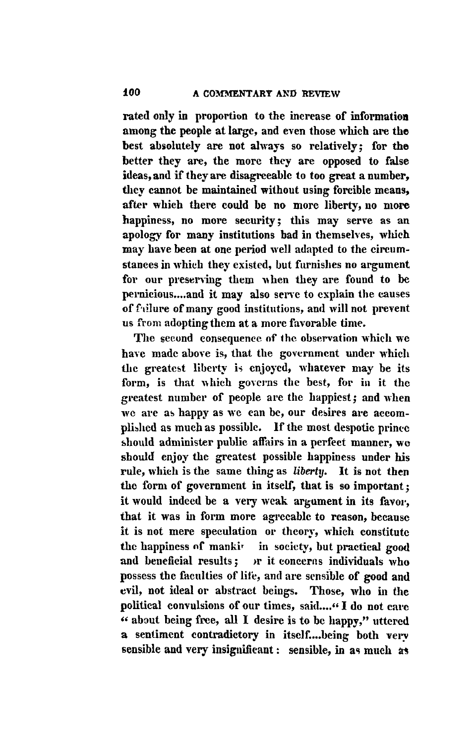rated only in proportion to the increase of information among the people at large, and even those which are the best absolutely are not always so relatively; for the better they are, the more they are opposed to false ideas, and if they are disagreeable to too great a number, they cannot be maintained without using forcible means, after which there could be no more liberty, no more happiness, no more security; this may serve as an apology for many institutions bad in themselves, which may have been at one period well adapted to the circumstances in which they existed, but furnishes no argument for our preserving them when they are found to be pernicious....and it may also serve to explain the causes of fullure of many good institutions, and will not prevent us from adopting them at a more favorable time.

The second consequence of the observation which we have made above is, that the government under which the greatest liberty is enjoyed, whatever may be its form, is that which governs the best, for in it the greatest number of people are the happiest; and when we are as happy as we can be, our desires are accomplished as much as possible. If the most despotie prince should administer public affairs in a perfect manner, we should enjoy the greatest possible happiness under his rule, which is the same thing as liberty. It is not then the form of government in itself, that is so important; it would indeed be a very weak argument in its favor, that it was in form more agreeable to reason, because it is not mere speculation or theory, which constitute the happiness of manking in society, but practical good and beneficial results: or it concerns individuals who possess the faculties of life, and are sensible of good and evil, not ideal or abstract beings. Those, who in the political convulsions of our times, said...." I do not care " about being free, all I desire is to be happy," uttered a sentiment contradictory in itself....being both very sensible and very insignificant: sensible, in as much as

100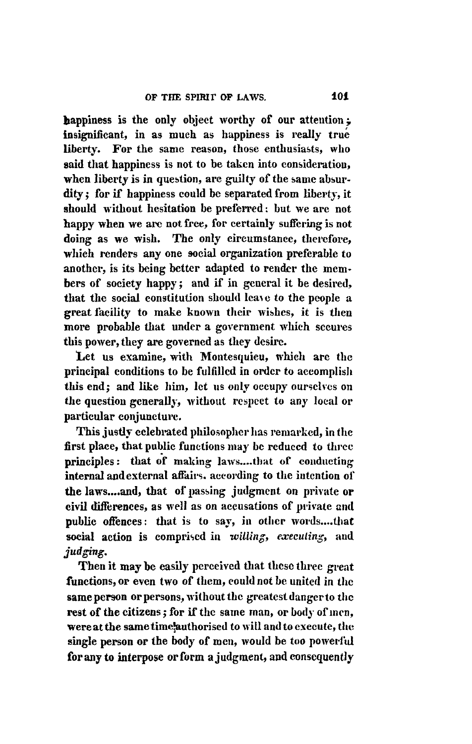h**appiness is the only object worthy of our atte**n**tion insignificant***,* **in as much as h**a**p**p**i**ness **is** r**ea**l**ly t**r**u**e li**b**e**rty. For the same reas***o***n, tho**s**e enthusia**s**ts***,* **who said t**h**at happiness is not to b**e **taken i**n**to con**s**ider**a**tion***,* **when libe***r***ty is in que**s**tion***,* **ar**e g**uilty of the sa**m**e ab**s**urdity; fo**r **i**f **happ**in**e**s**s could b**e **separated from** l**ibe**r**ty, it should wi**th**out h**e**sitation be pre**f**erred: but we a**r**e not happy when we** a**rc not free***,* **fo***r* **certainly suffe**ring **i**s **not doin**g **as we wish. Th**e **only ci**r**cumstance***,* **t**h**e**r**efo**r**e***,* **w**h**ich renders any on**e **s**o**ci**a**l or**ga**nization prefe**r**able t***o* **anothe**r*,* **is its bein**g **bette***r* **adapted to re**n**der t**h**e** m**e**re**. bets of society happy ; and i**f **in** g**eneral it be desi**r**ed***,* **t**h**at the socia**l **eon**s**titution** s**hou**l**d lea**\_**e to the p**e**ople a great i**\_**eility to** m**ake kno**w**n t**h**eir** w**i**s**hes***,* **it is t**h**en more prob**a**ble** th**at under a go**ve**rn**m**ent** wh**ich sceu**r**e**s **t**hi**s** p**o**we**r**, **t**he**y** a**r**e **gov**e**r**ne**d** a**s t**he**y d**e**sir**e.

**L**et us exa**m**i**n**e*,* **w**ith **Mo**nte**sq**uieu, which a**r**c th**e prin**e**i**pa**l** c**o**n**d**it**io**n**s to** be **f**u**lfill**e**d in ord**e**r to** ae**eom**p**l**ish **t**h**is** en**d;** an**d lik**e h**i**m*,* **l**e**t** us **o**n**ly o**ceu**py o**u**r**se**lves o**n **t**he qu*e*s**tion** g**e**ne**r**a**lly**, w**it**h**o**ut **r**es**p**e**c**t **to** a**ny lo**ca**l o**r **p**arti**c**ula**r co**n**j**un**ct**u**r**e.

Th**i**s j**u**s**tly** eele**h-**a**t**e**d** phil**o**so**p**her h**a**s remar**k**e**d***,* i**n** the first place, that public functions may be reduced to three **pr**i**nci**ples: that o**f** making laws....that of **c**onducting inte**r**nal aa**d**exte**r**nal affairs, ac**c**ording t**o** the intention **o**f t*h*e laws....an**d***,* t*h*at **of** passing judgment **o**n private **or** civil **di**ffe**r***e*nc**e**s*,* as well as *o*n ac**c**usations o**f** priva*t*e a**nd p**u**b**lic o**ff**e*n***c**es: that is to sa**y***,* **i**n *o*ther words....that s**o**cial acti**on** is c**o**mp**r**ised i**n** *wil*l*ing, execu*t*ing,* an**d**  $ju$ *d*<sub>*ging*.</sub>

**Then it may b**e **easi**l**y perc**e**iv**e**d** tlm**t** th**e**s**e th**r**e**e gr**eat func**ti**ons***,* **or even two of** th**e**m*,* **could no**t **be uni**t**ed in t**he **same p**e**rson or per**s**ons***,* w**i**th**ou**t **the** gre**ate**s**t da**nge**r to** t**l**t**c re**s**t of the c**i**tizen**s **;** f**or if t**h**e sa**m**e man***,* **or bo**d**y of** m**en***,* **were a**t the **sam**e **time:huthori**s**ed to** w**i**l**l and to** e**xecute***,* **t**he s**in**g**le per**s**on or** t**he body of** m**e**n**, wo**u**ld be too** p**owe**fft**d for an**y **to interpose or for**m **a** ju**d**gm*e***n**t*,* **a**n**d** c**on**s**e**q**uen***t*l**y**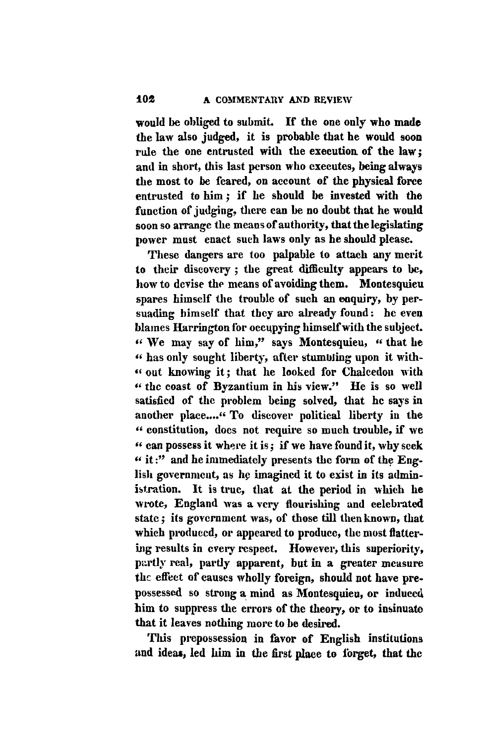would **be o**b**liged to** sub**mit. If the one only** w**h***o* m**ad**e **the** la**w also ju**d**ged, it i**s **pro**b**a**bl**e** th**at h**e **would** so**o**n **rule the one ent**r**usted wi**th **the execution of the law; and in sho**r**t***,* **this last per**s**on w**h**o executes***,* **be**in**g alwa**y**s the most to be fea**r**ed***, o***n account o**f **t**h**e physical force ent**r**u**s**ted to hi**m **; if he should** be in**vest**e**d with** th**e f**u**nction of jud**g**ing,** th**ere can** be **no dou**b**t that h**e **would soon so arrange the mean**s **of autho**r**ity,** th**at** th**e leg**is**lating powe**r **must enact** s**uch laws only as he sho**ul**d please.**

**T**h**e**s**e danger**s **a**r**e too p**al**pa**b**le to attach any** m**e**r**it to thei**r **d**isc**overy ; the g**rea**t difficulty appears to be, how to devi**s**e** th**e mean**s **of avoiding them. Monte**s**quieu spares** h**imself ti**l**e t**ro**u**b**le of such** an e**nqui**ry*,* **by pe**rs**uading** h**im**se**lf that thc**y ar**e already found: hc ev**en **bla**m**es Ha**rr**ington t**br **occupyin**g h**imself** w**ith** th**e sub**je**c**t**. ,***,* **We** ma**y** s**ay of him***,*" s**ay**s **Mo**n**tesquieu***,* **,***,* **that h**e *,***,** h**as o**ul**y** s**ought libe**r**ty***,* a**fte**r s**tuml)l**ing **upon it with**- **,, out knowing it; that he looked for Chale**ed**o**n wi**th ,***,* **t**h**e coa**s**t of Byza**n**tiu**m **in hi**s **view.**" **H**e **i**s s**o well** s**atisfied of t**h**e p**r**oble**m b**ein**g s**olved***,* **t**h**at hc sa**y**s in anot**h**er place....***,***, To di**s**cove**r **politic**al **libe**r**ty i**n **th**e " **con**s**titution, does not requi**r**e** s**o much t**ro**uble***,* **if we '***,* **can possess it whe**re **it i**s**; if we have found it,** w**hy se**e**k**  $\alpha$  it:" and he immediately presents the form of the English government, as he imagined it to exist in its admin-<br>istration. It is true, that at the period in which he **i**s**t**r**a**ti**on. It i**s **t**r**ue***,* **t**h**at a**t th**e pe**r**io**d **in** whi**c**h **h**e **w**ro**te***,* **En**g**land** w**a**s a **ve**r**y flou**r**i**s**h**i**n**g **and celeb**r**at**ed s**tate ; i**ts g**ove**r**n**m**ent** w**a**s**, of** th**ose ti**l**l** th**en kno**w**n, that which p**ro**du**c**ed***,* **o**r **appea**re**d to p**ro**du**c**e***,* **the mo**s**t flatte**rbi**g** r**e**s**ults in eve**r**y** re**sp**e**ct. Howeve**r*,* **this** s**upe**r**io**r**ity, p**\_r**tly** re**al***,* pa**rt**l**y apparent***,* **but in a** gre**ate**r m**easu**re **th**e **effect of eauscs wholly fo**r**ei**g**n***,* **should not have p**re**po**ss**e**s**se**d s**o** s**trong** \_t **m**in**d as Mont**e**squieu***,* **or induce**d **hi**m **to** s**upp**r**e**s**s** the **er**r**o**r**s of** th**e** th**eory***,* **o**r **to in**s**inuat**e **that it** l**eaves no**th**ing mo**r**e to be desi**r**ed.**

**This p**l\_**po**s**ses**s**io**n **in favor of Engli**s**h in**s**titutions** \_m**d idea**s*,* **led him in the fir**s**t p**l**ac**e **to i**b**rget***,* **that** th**e**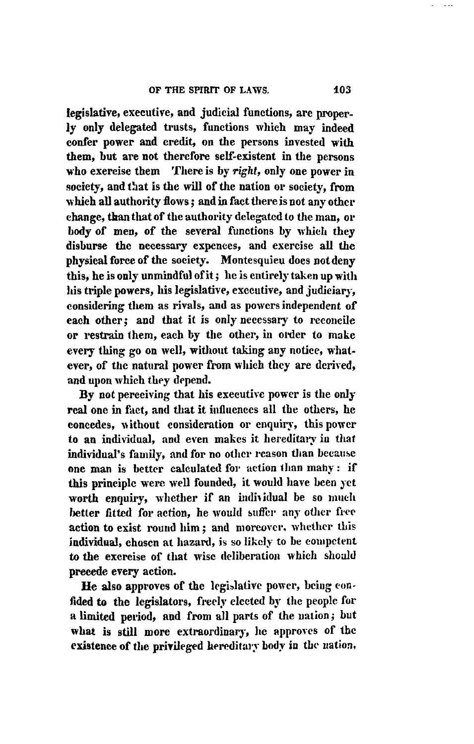**legishti**v**e***,* **executive, and judicial functions***,* **are p**r**operly only dele**g**ated t**r**usts***,* **functions w**h**i**c**h** m**ay indeed confer power and credit***,* **on the persons** in**vested with the**m*,* **but** a**re not** th**erefore** s**erf-existe**nt **in** th**e pe**r**sons** w**ho exercise them T**h**ere is by** r*ight***, only one power in society***,* **and** t**hat is the wil**l **of** the **nation o**r **society***,* **fro**m w**hich al**l **autho**r**ity flows; and in fact the**r**e is not any other change, th**a**n t**ha**t of the autho**r**ity dcl**%**o**\_a**tcdto the man***,* **o**r **body of me**n*,* **of the several functions by** w**hich they disburse** th**e ne**c**essary expcn**ce**s***,* **and exercise all** th**e physical force of the society. Montesquieu does** n**otdeny this, he is only un**min**dful of it; he** i**s entirely taken u**p **wi**t**h** h**is t***r***iple powers***,* **Irislegislative***,* **exe**c**utive***,* **and judicia**ry; **considerin**g **the**m **as** r**ivals***,* **and as powers independent of e**ac**h o**th**er; an**d th**at it is only nece**s**sary** t**o** r**eco**n**ci**l**e or restr**ai**n** th**e**m*,* **each by t**h**e other***,* **in ot**\_l**cr** t**o make eve**ry t**hin**g g**o on well,** w**ithout taking any notice, whatever***,* **of the nat**\_lra**l power fro**m wh**ich they ar**e **derive**d**, and upon which they d***e***pend.**

**By not** pe**rceivin**g **that his executive power is** th**e only rea**l **one** in fa**ct***,* **and th**a**t it i**n**fl**u**en**c**es all the others***,* **h**e **con**c**edes,** \_**it**h**out consideration or e**n**qui**re**'***,* **this**po**wer** t**o an in**di**vidual, and e**v**en** m**akes it** h**eredita**ry **iu** th**a**t in**dividu**al**'s fa**m**ily***,* **and for no oilie**r **reason than bec**ans**e one man is better c**a**l**c**ulated fo**r a**ction** (**han ma**h**y: if th**i**s p**ri**nciple** w**er**e w**ell founded***,* **it w***o***uld }**l**ave been yet** w**or**th **enquh'y***,* wh**e**th**er if** an hi**di**\_i**dual be** s**o m**uch b**ette**r **fitted fo**r **ac***t***ion***,* **he** w**ou**ld suff**e**r any **o**th**er free** a**ction to ex**i**st rou**n**d** him **;** a**nd mm**co**vet',** w**hc**t**l**l**e**r t**h**is **in**di**vidua**l*,* **chosen** at h**aza***r***d***,* **is** s**o likely** t**o be** c**o**m**pete**n**t to** th**e ex**er**cise of t**h**at wise** d**elibe**r**atioi**t **whic**h s**ho'al**d **preced**e **eve**ry **ac**ti**on.**

**He a**l**so a**p**p**r**ove**s **of** th**e leg**is**lative po**w**c**r**,** be**i**ng **contided** to **th**e **legi**s**lato**r**s, f**ine**ly elected b**y th**e p**e**ople f**or a limited period, and from all parts of the nation; but **what is still mor**e **extrao**r**dina**ry*,* he ap**p**r**oves of** th**e exi**s**t**e**n**c**e of til**e **pri**v**ile**ge**d h***e*r**edi**t**ary** b**ody in the nati***o*n**,**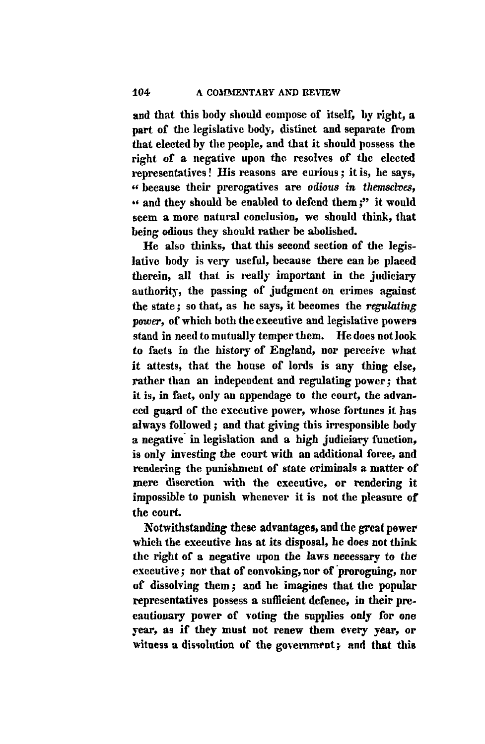**and th**a**t t**hi**s body s**h**o**ul**d c**ompo**se of its**el**f, by r**l**ght***,* a p**art of th**e **legi**s**lative body***,* **distin**c**t and** separ**at**e **from that elected by t**h**e peo**p**l**e*,* **and** th**at it should poss**e**ss** the **ri**g**ht of a negative upon th**e r**esol**ve**s of th**e **el**e**cted** re**p**re**sentati**v**es** ! **His** re**a**s**ons a**r**e e**m**'ious ; it is***,* **l**i**e say**s*,* **,***,* **be**c**au**se **theh" p**rer**o**ga**tiv**e**s a**re *odious in themsdv*\_**, ., and th**e**y sho**ul**d b**e **enabled to defend them ;**" **it would s**ee**m a more natu**r**al** c**onclusion, w**e **should think***,* **that being odious t**h**ey should rath**er **b**e **abolish**e**d.**

**H**e **al**s*o* **thinks***,* th**at this se**c**o**n**d se**cti**on of t**h**e legislativ**e **body is ve**r**y useful, becaus**e th**er**e **can be plac**e**d t***h***e**r**ein***,* **all** th**at is really important in** the **judicia**r**y au**th**o**r**i**D*'***, th**e **passing of judgment on** e**t**qm**es against** the **stat**e **; so that, as he says***,* **it be**c**o**m**es the** *regulati*n*g p***o**w*e***r***,* **of whi**c**h bot**h th**e executiv**e **and legislativ**e **powers stand in n**ee**d to** m**utua**ll**y t**e**mper them. H**e **d***o*e**s not look to fac**t**s i**n the **histo**ry **of England, nor** pe**rceiv**e w**hat it att**e**sts, that th**e **hous**e **of lo**r**ds is any thing else, rath**e**r t**han **an in**d**e**pe**n**d**ent and** r**eg**u**lating pow**er*;* **that it is, in f**act, **only an ap**p**endage to th**e **cou**r**t, the advanced guard of th**e e**xecutive powe**r*,* **w**ho**s**e **fo**r**tunes it has always followed ; and that giving this ir**r**es**po**nsibl**e **body a ne**ga**tiv**e **in legislation and** a **hi**g**h judiciary function, is only** in**vestin**g the **court with an additional fo**rc**e***,* **and** re**n**deri**ng the** p**uni**s**hm**e**nt of s**ta**te c**r**im**inal**s a matter of** m**e**re d**i**sc**retion** \_**vit**h **t**he **exe**c**utive, o**r re**nd**e**ring it impossibl**e **to p**un**ish** w**h**e**nev**er **it is not t**h**e pleasu**re **of th**e **cou**r**t.**

\_**otwithstanding** th**ese advantage**s*,* **and the grea**t **power whic**h **the executive** h**as at its** di**spo**s**al, he do**e**s not think the right of a ne**ga**tive upon th**e **laws n**e**c**e**ssa**ry **to the executiv**e**; no**r **that of convoking***,* **no**r **of proroguing, no**r **of dissolving** them**; and h**e **i**m**agin**e**s** th**at** the **pop**u**lar r***e***pre**s**entativ**e**s posse**s**s a sufficient d**e**fenc**e**, in th**e**ir** preca**utio**n**a**ry **power of voting the sup**p**li**e**s only for on**e **y**e**ar, as if** th**ey must not ren**e**w** them e**v**er**y y***e***ar, or witne**ss **a dis**so**lution of** the **gove**r**nment** \_ **and that** th**i**s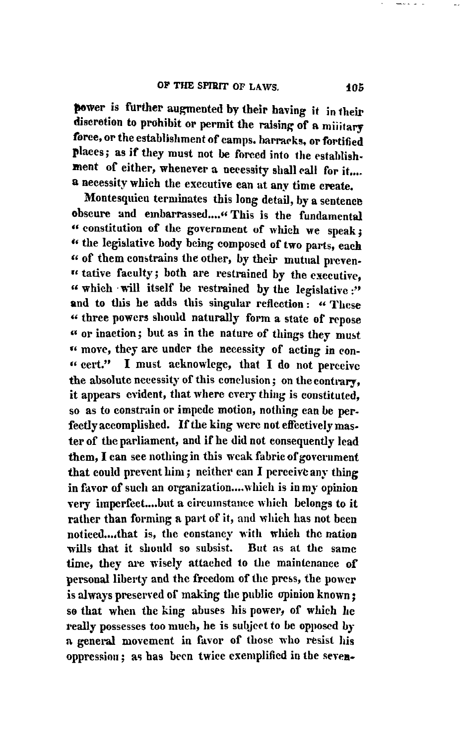hower is further augmented by their having it in their discretion to prohibit or permit the raising of a military force, or the establishment of camps. barracks, or fortified places; as if they must not be forced into the establishment of either, whenever a necessity shall call for it.... a necessity which the executive can at any time create.

Montesquieu terminates this long detail, by a sentence obscure and embarrassed...." This is the fundamental " constitution of the government of which we speak; " the legislative body being composed of two parts, each " of them constrains the other, by their mutual preven-" tative faculty; both are restrained by the executive. " which will itself be restrained by the legislative:" and to this he adds this singular reflection: "These " three nowers should naturally form a state of repose " or inaction; but as in the nature of things they must " move, they are under the necessity of acting in con-I must acknowlege, that I do not perceive  $\alpha$  cert." the absolute necessity of this conclusion; on the contrary. it appears evident, that where every thing is constituted, so as to constrain or impede motion, nothing can be perfeetly accomplished. If the king were not effectively master of the parliament, and if he did not consequently lead them, I can see nothing in this weak fabric of government that could prevent him; neither can I perceive any thing in favor of such an organization....which is in my opinion very imperfect....but a circumstance which belongs to it rather than forming a part of it, and which has not been noticed....that is, the constancy with which the nation wills that it should so subsist. But as at the same time, they are wisely attached to the maintenance of personal liberty and the freedom of the press, the power is always preserved of making the public opinion known: so that when the king abuses his power, of which he really possesses too much, he is subject to be opposed by a general movement in favor of those who resist his oppression; as has been twice exemplified in the seven-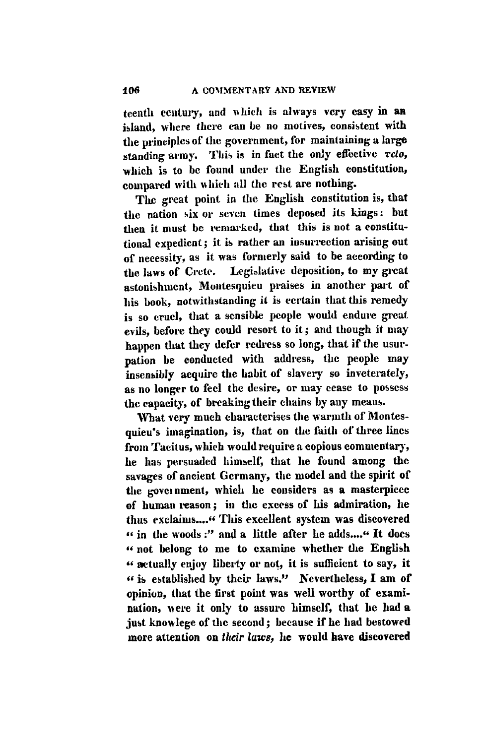teenth century, and which is always very easy in an island, where there can be no motives, consistent with the principles of the government, for maintaining a large standing army. This is in fact the only effective reto, which is to be found under the English constitution, compared with which all the rest are nothing.

The great point in the English constitution is, that the nation six or seven times deposed its kings: but then it must be remarked, that this is not a constitutional expedient; it is rather an insurrection arising out of necessity, as it was formerly said to be according to the laws of Crete. Legislative deposition, to my great astonishment, Montesquieu praises in another part of his book, notwithstanding it is certain that this remedy is so cruel, that a sensible people would endure great evils, before they could resort to it; and though it may havnen that they defer redress so long, that if the usurnation be conducted with address, the people may insensibly acquire the habit of slavery so inveterately, as no longer to feel the desire, or may cease to possess the capacity, of breaking their chains by any means.

What very much characterises the warmth of Montesquieu's imagination, is, that on the faith of three lines from Tacitus, which would require a copious commentary, he has nersuaded himself, that he found among the savages of ancient Germany, the model and the spirit of the government, which he considers as a masterpiece of human reason; in the excess of his admiration, he thus exclaims...." This excellent system was discovered " in the woods:" and a little after he adds...." It does " not belong to me to examine whether the English " actually enjoy liberty or not, it is sufficient to say, it " is established by their laws." Nevertheless, I am of opinion, that the first point was well worthy of examination, were it only to assure himself, that he had a just knowlege of the second; because if he had bestowed more attention on their laws, he would have discovered

106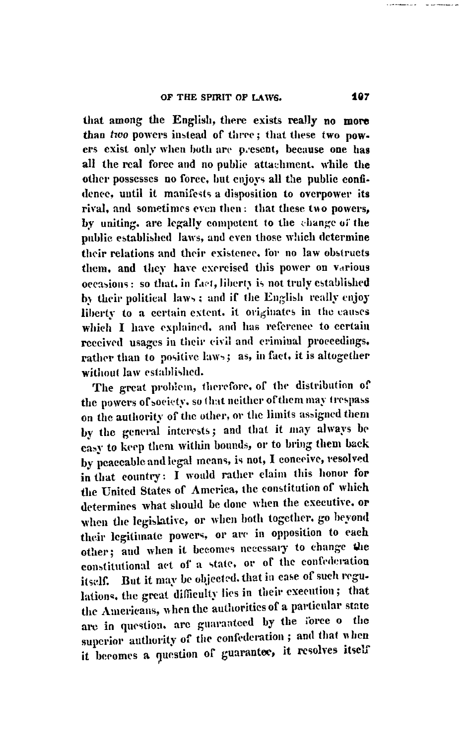that among the English, there exists really no more than two powers instead of three; that these two powers exist only when both are present, because one has all the real force and no public attachment, while the other possesses no force, but enjoys all the public confidence, until it manifests a disposition to overpower its rival, and sometimes even then: that these two powers, by uniting, are legally competent to the change of the public established laws, and even those which determine their relations and their existence, for no law obstructs them, and they have exercised this power on various occasions: so that, in fact, liberty is not truly established by their political laws; and if the English really enjoy liberty to a certain extent. it originates in the causes which I have explained, and has reference to certain received usages in their civil and criminal proceedings. rather than to positive laws; as, in fact, it is altogether without law established.

The great problem, therefore, of the distribution of the powers of society, so that neither of them may trespass on the authority of the other, or the limits assigned them by the general interests; and that it may always be casy to keep them within bounds, or to bring them back by peaceable and legal means, is not, I conceive, resolved in that country: I would rather claim this honor for the United States of America, the constitution of which determines what should be done when the executive. or when the legislative, or when both together, go beyond their legitimate powers, or are in opposition to each other; and when it becomes necessary to change the constitutional act of a state, or of the confederation But it may be objected, that in case of such reguitself. lations, the great difficulty lies in their execution; that the Americans, when the authorities of a particular state are in question, are guaranteed by the force o the superior authority of the confederation; and that when it becomes a question of guarantee, it resolves itself

107

. . . . . . . . . . .